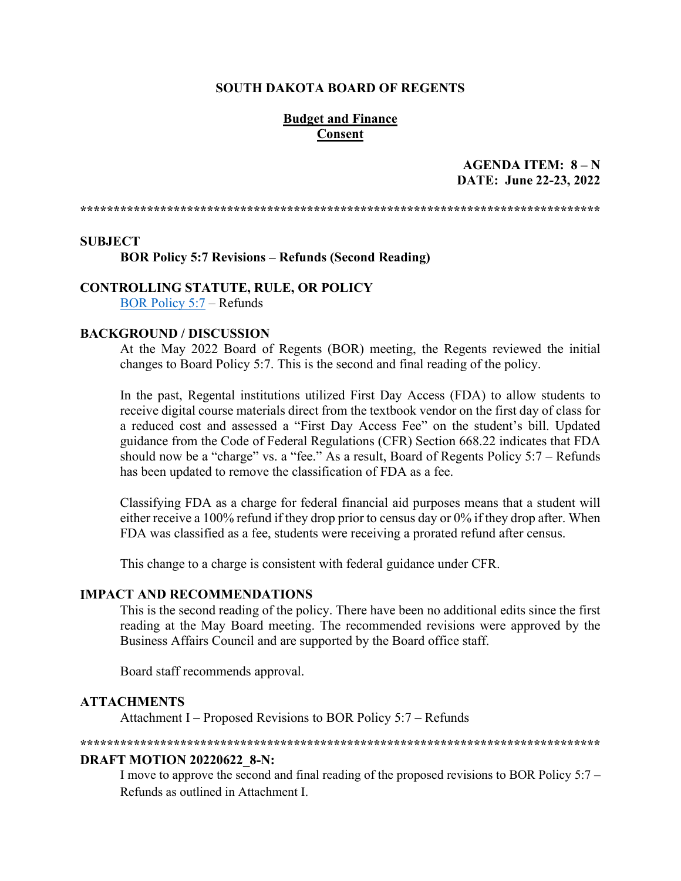#### **SOUTH DAKOTA BOARD OF REGENTS**

#### **Budget and Finance Consent**

### AGENDA ITEM:  $8-N$ DATE: June 22-23, 2022

#### **SUBJECT**

**BOR Policy 5:7 Revisions - Refunds (Second Reading)** 

**CONTROLLING STATUTE, RULE, OR POLICY** 

**BOR Policy 5:7 – Refunds** 

#### **BACKGROUND / DISCUSSION**

At the May 2022 Board of Regents (BOR) meeting, the Regents reviewed the initial changes to Board Policy 5:7. This is the second and final reading of the policy.

In the past, Regental institutions utilized First Day Access (FDA) to allow students to receive digital course materials direct from the textbook vendor on the first day of class for a reduced cost and assessed a "First Day Access Fee" on the student's bill. Updated guidance from the Code of Federal Regulations (CFR) Section 668.22 indicates that FDA should now be a "charge" vs. a "fee." As a result, Board of Regents Policy  $5:7$  – Refunds has been updated to remove the classification of FDA as a fee.

Classifying FDA as a charge for federal financial aid purposes means that a student will either receive a 100% refund if they drop prior to census day or 0% if they drop after. When FDA was classified as a fee, students were receiving a prorated refund after census.

This change to a charge is consistent with federal guidance under CFR.

#### **IMPACT AND RECOMMENDATIONS**

This is the second reading of the policy. There have been no additional edits since the first reading at the May Board meeting. The recommended revisions were approved by the Business Affairs Council and are supported by the Board office staff.

Board staff recommends approval.

#### **ATTACHMENTS**

Attachment I – Proposed Revisions to BOR Policy 5:7 – Refunds

#### 

#### **DRAFT MOTION 20220622 8-N:**

I move to approve the second and final reading of the proposed revisions to BOR Policy 5:7 -Refunds as outlined in Attachment I.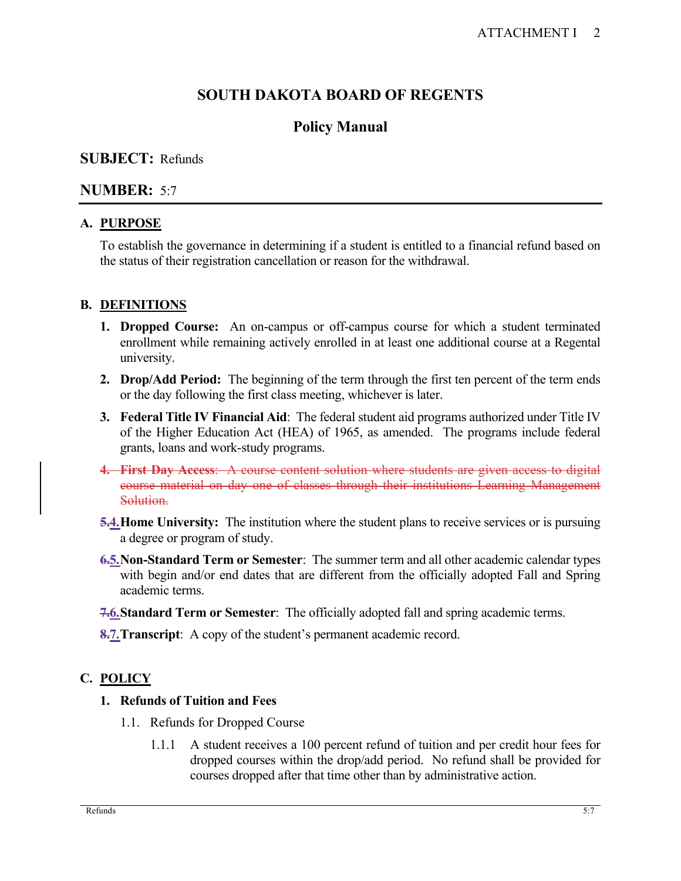# **SOUTH DAKOTA BOARD OF REGENTS**

# **Policy Manual**

# **SUBJECT:** Refunds

## **NUMBER:** 5:7

### **A. PURPOSE**

To establish the governance in determining if a student is entitled to a financial refund based on the status of their registration cancellation or reason for the withdrawal.

## **B. DEFINITIONS**

- **1. Dropped Course:** An on-campus or off-campus course for which a student terminated enrollment while remaining actively enrolled in at least one additional course at a Regental university.
- **2. Drop/Add Period:** The beginning of the term through the first ten percent of the term ends or the day following the first class meeting, whichever is later.
- **3. Federal Title IV Financial Aid**: The federal student aid programs authorized under Title IV of the Higher Education Act (HEA) of 1965, as amended. The programs include federal grants, loans and work-study programs.
- **4. First Day Access**: A course content solution where students are given access to digital course material on day one of classes through their institutions Learning Management Solution.
- **5.4. Home University:** The institution where the student plans to receive services or is pursuing a degree or program of study.
- **6.5.Non-Standard Term or Semester**: The summer term and all other academic calendar types with begin and/or end dates that are different from the officially adopted Fall and Spring academic terms.
- **7.6.Standard Term or Semester**: The officially adopted fall and spring academic terms.
- **8.7. Transcript**: A copy of the student's permanent academic record.

# **C. POLICY**

### **1. Refunds of Tuition and Fees**

- 1.1. Refunds for Dropped Course
	- 1.1.1 A student receives a 100 percent refund of tuition and per credit hour fees for dropped courses within the drop/add period. No refund shall be provided for courses dropped after that time other than by administrative action.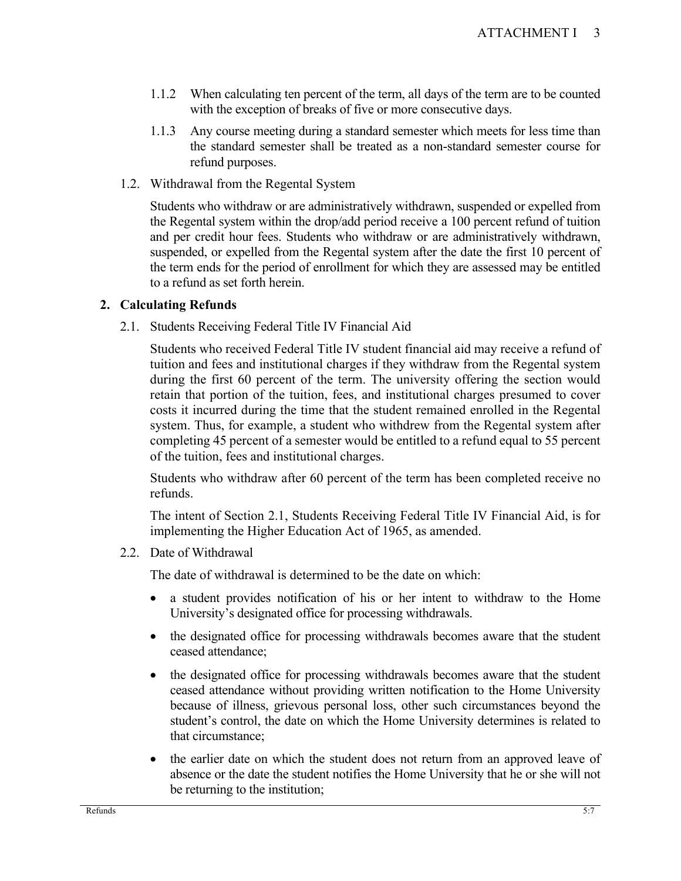- 1.1.2 When calculating ten percent of the term, all days of the term are to be counted with the exception of breaks of five or more consecutive days.
- 1.1.3 Any course meeting during a standard semester which meets for less time than the standard semester shall be treated as a non-standard semester course for refund purposes.
- 1.2. Withdrawal from the Regental System

Students who withdraw or are administratively withdrawn, suspended or expelled from the Regental system within the drop/add period receive a 100 percent refund of tuition and per credit hour fees. Students who withdraw or are administratively withdrawn, suspended, or expelled from the Regental system after the date the first 10 percent of the term ends for the period of enrollment for which they are assessed may be entitled to a refund as set forth herein.

### **2. Calculating Refunds**

2.1. Students Receiving Federal Title IV Financial Aid

Students who received Federal Title IV student financial aid may receive a refund of tuition and fees and institutional charges if they withdraw from the Regental system during the first 60 percent of the term. The university offering the section would retain that portion of the tuition, fees, and institutional charges presumed to cover costs it incurred during the time that the student remained enrolled in the Regental system. Thus, for example, a student who withdrew from the Regental system after completing 45 percent of a semester would be entitled to a refund equal to 55 percent of the tuition, fees and institutional charges.

Students who withdraw after 60 percent of the term has been completed receive no refunds.

The intent of Section 2.1, Students Receiving Federal Title IV Financial Aid, is for implementing the Higher Education Act of 1965, as amended.

2.2. Date of Withdrawal

The date of withdrawal is determined to be the date on which:

- a student provides notification of his or her intent to withdraw to the Home University's designated office for processing withdrawals.
- the designated office for processing withdrawals becomes aware that the student ceased attendance;
- the designated office for processing withdrawals becomes aware that the student ceased attendance without providing written notification to the Home University because of illness, grievous personal loss, other such circumstances beyond the student's control, the date on which the Home University determines is related to that circumstance;
- the earlier date on which the student does not return from an approved leave of absence or the date the student notifies the Home University that he or she will not be returning to the institution;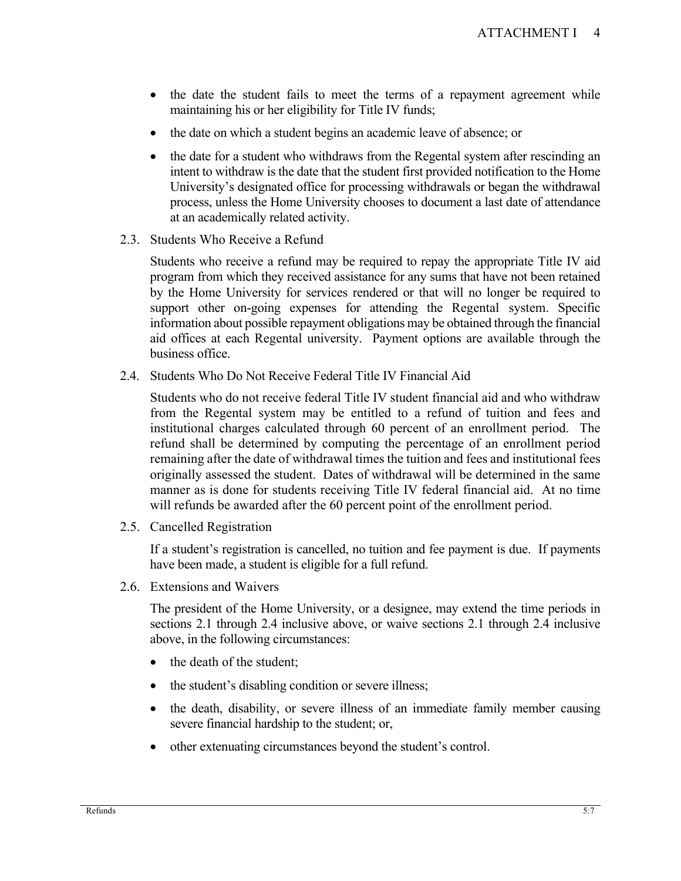- the date the student fails to meet the terms of a repayment agreement while maintaining his or her eligibility for Title IV funds;
- the date on which a student begins an academic leave of absence; or
- the date for a student who withdraws from the Regental system after rescinding an intent to withdraw is the date that the student first provided notification to the Home University's designated office for processing withdrawals or began the withdrawal process, unless the Home University chooses to document a last date of attendance at an academically related activity.
- 2.3. Students Who Receive a Refund

Students who receive a refund may be required to repay the appropriate Title IV aid program from which they received assistance for any sums that have not been retained by the Home University for services rendered or that will no longer be required to support other on-going expenses for attending the Regental system. Specific information about possible repayment obligations may be obtained through the financial aid offices at each Regental university. Payment options are available through the business office.

2.4. Students Who Do Not Receive Federal Title IV Financial Aid

Students who do not receive federal Title IV student financial aid and who withdraw from the Regental system may be entitled to a refund of tuition and fees and institutional charges calculated through 60 percent of an enrollment period. The refund shall be determined by computing the percentage of an enrollment period remaining after the date of withdrawal times the tuition and fees and institutional fees originally assessed the student. Dates of withdrawal will be determined in the same manner as is done for students receiving Title IV federal financial aid. At no time will refunds be awarded after the 60 percent point of the enrollment period.

2.5. Cancelled Registration

If a student's registration is cancelled, no tuition and fee payment is due. If payments have been made, a student is eligible for a full refund.

2.6. Extensions and Waivers

The president of the Home University, or a designee, may extend the time periods in sections 2.1 through 2.4 inclusive above, or waive sections 2.1 through 2.4 inclusive above, in the following circumstances:

- the death of the student;
- the student's disabling condition or severe illness;
- the death, disability, or severe illness of an immediate family member causing severe financial hardship to the student; or,
- other extenuating circumstances beyond the student's control.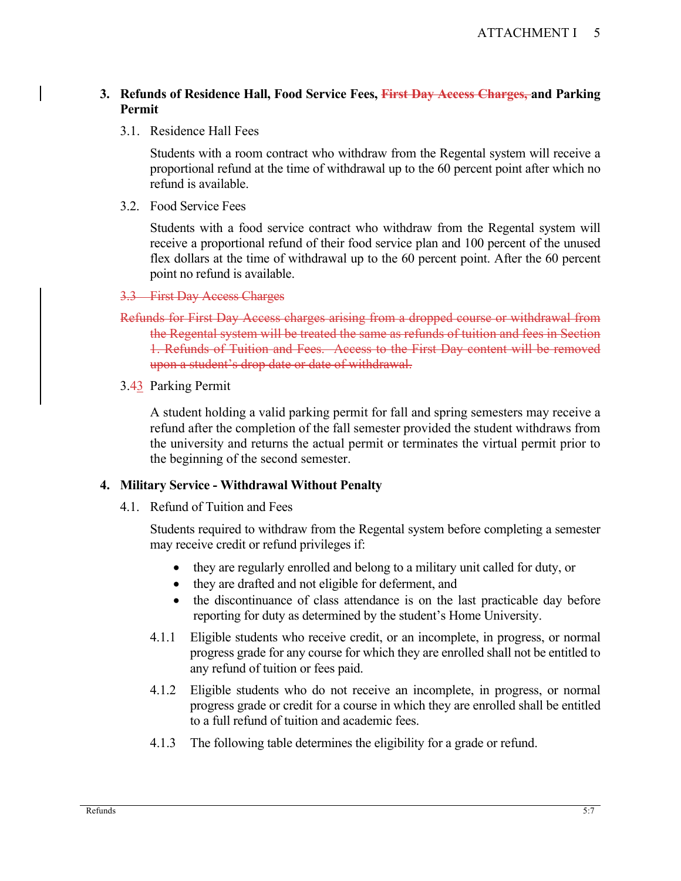### **3. Refunds of Residence Hall, Food Service Fees, First Day Access Charges, and Parking Permit**

3.1. Residence Hall Fees

Students with a room contract who withdraw from the Regental system will receive a proportional refund at the time of withdrawal up to the 60 percent point after which no refund is available.

3.2. Food Service Fees

Students with a food service contract who withdraw from the Regental system will receive a proportional refund of their food service plan and 100 percent of the unused flex dollars at the time of withdrawal up to the 60 percent point. After the 60 percent point no refund is available.

- 3.3 First Day Access Charges
- Refunds for First Day Access charges arising from a dropped course or withdrawal from the Regental system will be treated the same as refunds of tuition and fees in Section 1. Refunds of Tuition and Fees. Access to the First Day content will be removed upon a student's drop date or date of withdrawal.
- 3.43 Parking Permit

A student holding a valid parking permit for fall and spring semesters may receive a refund after the completion of the fall semester provided the student withdraws from the university and returns the actual permit or terminates the virtual permit prior to the beginning of the second semester.

#### **4. Military Service - Withdrawal Without Penalty**

4.1. Refund of Tuition and Fees

Students required to withdraw from the Regental system before completing a semester may receive credit or refund privileges if:

- they are regularly enrolled and belong to a military unit called for duty, or
- they are drafted and not eligible for deferment, and
- the discontinuance of class attendance is on the last practicable day before reporting for duty as determined by the student's Home University.
- 4.1.1 Eligible students who receive credit, or an incomplete, in progress, or normal progress grade for any course for which they are enrolled shall not be entitled to any refund of tuition or fees paid.
- 4.1.2 Eligible students who do not receive an incomplete, in progress, or normal progress grade or credit for a course in which they are enrolled shall be entitled to a full refund of tuition and academic fees.
- 4.1.3 The following table determines the eligibility for a grade or refund.